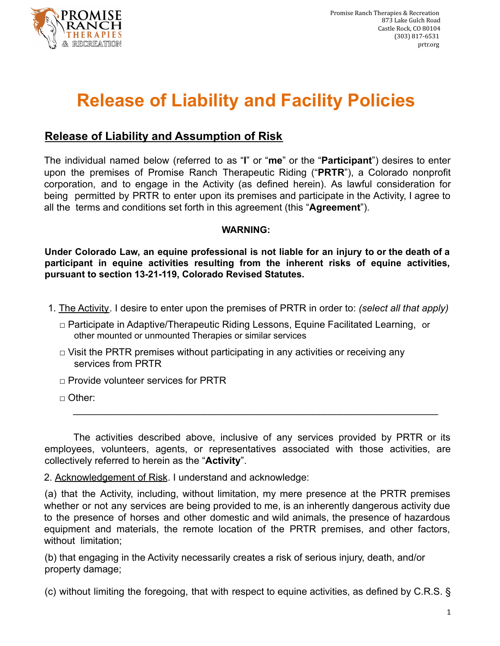

## **Release of Liability and Facility Policies**

## **Release of Liability and Assumption of Risk**

The individual named below (referred to as "**I**" or "**me**" or the "**Participant**") desires to enter upon the premises of Promise Ranch Therapeutic Riding ("**PRTR**"), a Colorado nonprofit corporation, and to engage in the Activity (as defined herein). As lawful consideration for being permitted by PRTR to enter upon its premises and participate in the Activity, I agree to all the terms and conditions set forth in this agreement (this "**Agreement**").

## **WARNING:**

**Under Colorado Law, an equine professional is not liable for an injury to or the death of a participant in equine activities resulting from the inherent risks of equine activities, pursuant to section 13-21-119, Colorado Revised Statutes.**

- 1. The Activity. I desire to enter upon the premises of PRTR in order to: *(select all that apply)*
	- □ Participate in Adaptive/Therapeutic Riding Lessons, Equine Facilitated Learning, or other mounted or unmounted Therapies or similar services
	- $\Box$  Visit the PRTR premises without participating in any activities or receiving any services from PRTR
	- □ Provide volunteer services for PRTR
	- □ Other:

The activities described above, inclusive of any services provided by PRTR or its employees, volunteers, agents, or representatives associated with those activities, are collectively referred to herein as the "**Activity**".

\_\_\_\_\_\_\_\_\_\_\_\_\_\_\_\_\_\_\_\_\_\_\_\_\_\_\_\_\_\_\_\_\_\_\_\_\_\_\_\_\_\_\_\_\_\_\_\_\_\_\_\_\_\_\_\_\_\_\_\_\_\_\_\_\_\_\_

2. Acknowledgement of Risk. I understand and acknowledge:

(a) that the Activity, including, without limitation, my mere presence at the PRTR premises whether or not any services are being provided to me, is an inherently dangerous activity due to the presence of horses and other domestic and wild animals, the presence of hazardous equipment and materials, the remote location of the PRTR premises, and other factors, without limitation;

(b) that engaging in the Activity necessarily creates a risk of serious injury, death, and/or property damage;

(c) without limiting the foregoing, that with respect to equine activities, as defined by C.R.S. §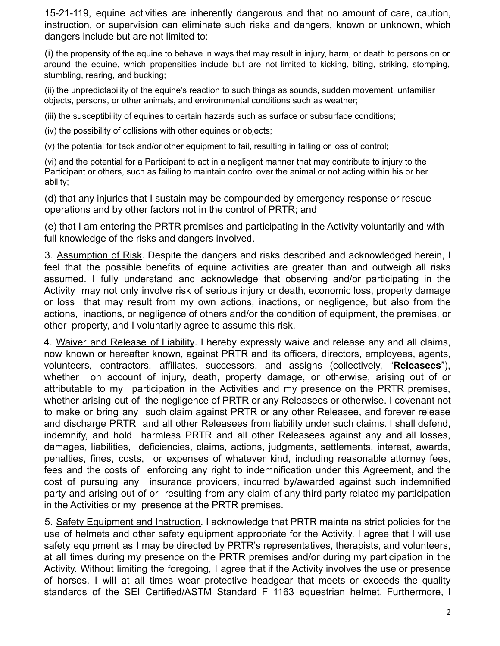15-21-119, equine activities are inherently dangerous and that no amount of care, caution, instruction, or supervision can eliminate such risks and dangers, known or unknown, which dangers include but are not limited to:

(i) the propensity of the equine to behave in ways that may result in injury, harm, or death to persons on or around the equine, which propensities include but are not limited to kicking, biting, striking, stomping, stumbling, rearing, and bucking;

(ii) the unpredictability of the equine's reaction to such things as sounds, sudden movement, unfamiliar objects, persons, or other animals, and environmental conditions such as weather;

(iii) the susceptibility of equines to certain hazards such as surface or subsurface conditions;

(iv) the possibility of collisions with other equines or objects;

(v) the potential for tack and/or other equipment to fail, resulting in falling or loss of control;

(vi) and the potential for a Participant to act in a negligent manner that may contribute to injury to the Participant or others, such as failing to maintain control over the animal or not acting within his or her ability;

(d) that any injuries that I sustain may be compounded by emergency response or rescue operations and by other factors not in the control of PRTR; and

(e) that I am entering the PRTR premises and participating in the Activity voluntarily and with full knowledge of the risks and dangers involved.

3. Assumption of Risk. Despite the dangers and risks described and acknowledged herein, I feel that the possible benefits of equine activities are greater than and outweigh all risks assumed. I fully understand and acknowledge that observing and/or participating in the Activity may not only involve risk of serious injury or death, economic loss, property damage or loss that may result from my own actions, inactions, or negligence, but also from the actions, inactions, or negligence of others and/or the condition of equipment, the premises, or other property, and I voluntarily agree to assume this risk.

4. Waiver and Release of Liability. I hereby expressly waive and release any and all claims, now known or hereafter known, against PRTR and its officers, directors, employees, agents, volunteers, contractors, affiliates, successors, and assigns (collectively, "**Releasees**"), whether on account of injury, death, property damage, or otherwise, arising out of or attributable to my participation in the Activities and my presence on the PRTR premises, whether arising out of the negligence of PRTR or any Releasees or otherwise. I covenant not to make or bring any such claim against PRTR or any other Releasee, and forever release and discharge PRTR and all other Releasees from liability under such claims. I shall defend, indemnify, and hold harmless PRTR and all other Releasees against any and all losses, damages, liabilities, deficiencies, claims, actions, judgments, settlements, interest, awards, penalties, fines, costs, or expenses of whatever kind, including reasonable attorney fees, fees and the costs of enforcing any right to indemnification under this Agreement, and the cost of pursuing any insurance providers, incurred by/awarded against such indemnified party and arising out of or resulting from any claim of any third party related my participation in the Activities or my presence at the PRTR premises.

5. Safety Equipment and Instruction. I acknowledge that PRTR maintains strict policies for the use of helmets and other safety equipment appropriate for the Activity. I agree that I will use safety equipment as I may be directed by PRTR's representatives, therapists, and volunteers, at all times during my presence on the PRTR premises and/or during my participation in the Activity. Without limiting the foregoing, I agree that if the Activity involves the use or presence of horses, I will at all times wear protective headgear that meets or exceeds the quality standards of the SEI Certified/ASTM Standard F 1163 equestrian helmet. Furthermore, I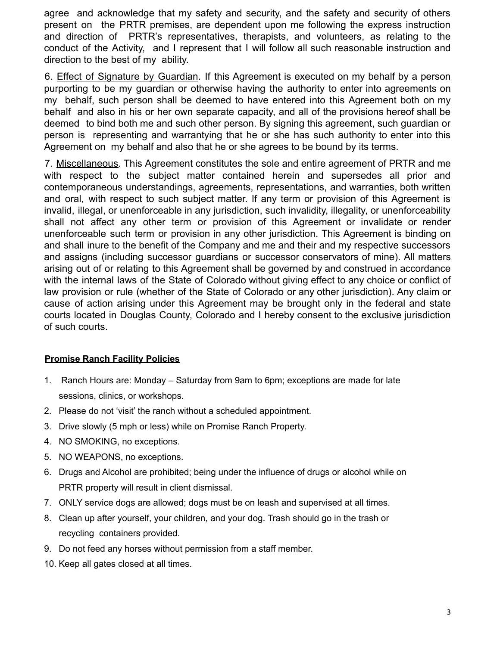agree and acknowledge that my safety and security, and the safety and security of others present on the PRTR premises, are dependent upon me following the express instruction and direction of PRTR's representatives, therapists, and volunteers, as relating to the conduct of the Activity, and I represent that I will follow all such reasonable instruction and direction to the best of my ability.

6. Effect of Signature by Guardian. If this Agreement is executed on my behalf by a person purporting to be my guardian or otherwise having the authority to enter into agreements on my behalf, such person shall be deemed to have entered into this Agreement both on my behalf and also in his or her own separate capacity, and all of the provisions hereof shall be deemed to bind both me and such other person. By signing this agreement, such guardian or person is representing and warrantying that he or she has such authority to enter into this Agreement on my behalf and also that he or she agrees to be bound by its terms.

7. Miscellaneous. This Agreement constitutes the sole and entire agreement of PRTR and me with respect to the subject matter contained herein and supersedes all prior and contemporaneous understandings, agreements, representations, and warranties, both written and oral, with respect to such subject matter. If any term or provision of this Agreement is invalid, illegal, or unenforceable in any jurisdiction, such invalidity, illegality, or unenforceability shall not affect any other term or provision of this Agreement or invalidate or render unenforceable such term or provision in any other jurisdiction. This Agreement is binding on and shall inure to the benefit of the Company and me and their and my respective successors and assigns (including successor guardians or successor conservators of mine). All matters arising out of or relating to this Agreement shall be governed by and construed in accordance with the internal laws of the State of Colorado without giving effect to any choice or conflict of law provision or rule (whether of the State of Colorado or any other jurisdiction). Any claim or cause of action arising under this Agreement may be brought only in the federal and state courts located in Douglas County, Colorado and I hereby consent to the exclusive jurisdiction of such courts.

## **Promise Ranch Facility Policies**

- 1. Ranch Hours are: Monday Saturday from 9am to 6pm; exceptions are made for late sessions, clinics, or workshops.
- 2. Please do not 'visit' the ranch without a scheduled appointment.
- 3. Drive slowly (5 mph or less) while on Promise Ranch Property.
- 4. NO SMOKING, no exceptions.
- 5. NO WEAPONS, no exceptions.
- 6. Drugs and Alcohol are prohibited; being under the influence of drugs or alcohol while on PRTR property will result in client dismissal.
- 7. ONLY service dogs are allowed; dogs must be on leash and supervised at all times.
- 8. Clean up after yourself, your children, and your dog. Trash should go in the trash or recycling containers provided.
- 9. Do not feed any horses without permission from a staff member.
- 10. Keep all gates closed at all times.